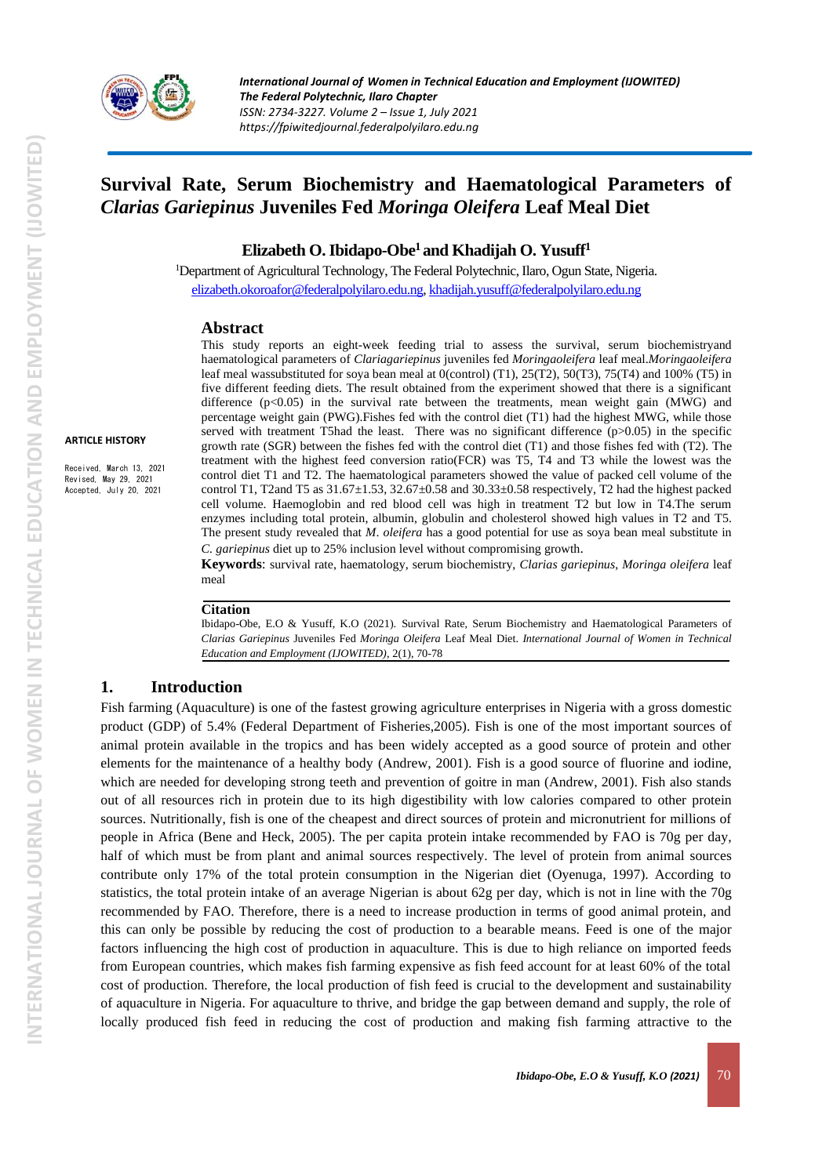

# **Survival Rate, Serum Biochemistry and Haematological Parameters of**  *Clarias Gariepinus* **Juveniles Fed** *Moringa Oleifera* **Leaf Meal Diet**

#### **Elizabeth O. Ibidapo-Obe<sup>1</sup> and Khadijah O. Yusuff<sup>1</sup>**

<sup>1</sup>Department of Agricultural Technology, The Federal Polytechnic, Ilaro, Ogun State, Nigeria. [elizabeth.okoroafor@federalpolyilaro.edu.ng,](mailto:elizabeth.okoroafor@federalpolyilaro.edu.ng) [khadijah.yusuff@federalpolyilaro.edu.ng](mailto:khadijah.yusuff@federalpolyilaro.edu.ng)

#### **Abstract**

This study reports an eight-week feeding trial to assess the survival, serum biochemistryand haematological parameters of *Clariagariepinus* juveniles fed *Moringaoleifera* leaf meal.*Moringaoleifera* leaf meal wassubstituted for soya bean meal at 0(control) (T1), 25(T2), 50(T3), 75(T4) and 100% (T5) in five different feeding diets. The result obtained from the experiment showed that there is a significant difference  $(p<0.05)$  in the survival rate between the treatments, mean weight gain (MWG) and percentage weight gain (PWG).Fishes fed with the control diet (T1) had the highest MWG, while those served with treatment T5had the least. There was no significant difference  $(p>0.05)$  in the specific growth rate (SGR) between the fishes fed with the control diet (T1) and those fishes fed with (T2). The treatment with the highest feed conversion ratio(FCR) was T5, T4 and T3 while the lowest was the control diet T1 and T2. The haematological parameters showed the value of packed cell volume of the control T1, T2and T5 as 31.67±1.53, 32.67±0.58 and 30.33±0.58 respectively, T2 had the highest packed cell volume. Haemoglobin and red blood cell was high in treatment T2 but low in T4.The serum enzymes including total protein, albumin, globulin and cholesterol showed high values in T2 and T5. The present study revealed that *M*. *oleifera* has a good potential for use as soya bean meal substitute in *C. gariepinus* diet up to 25% inclusion level without compromising growth.

**Keywords**: survival rate, haematology, serum biochemistry, *Clarias gariepinus*, *Moringa oleifera* leaf meal

#### **Citation**

Ibidapo-Obe, E.O & Yusuff, K.O (2021). Survival Rate, Serum Biochemistry and Haematological Parameters of *Clarias Gariepinus* Juveniles Fed *Moringa Oleifera* Leaf Meal Diet. *International Journal of Women in Technical Education and Employment (IJOWITED)*, 2(1), 70-78

#### **1. Introduction**

Fish farming (Aquaculture) is one of the fastest growing agriculture enterprises in Nigeria with a gross domestic product (GDP) of 5.4% (Federal Department of Fisheries,2005). Fish is one of the most important sources of animal protein available in the tropics and has been widely accepted as a good source of protein and other elements for the maintenance of a healthy body (Andrew, 2001). Fish is a good source of fluorine and iodine, which are needed for developing strong teeth and prevention of goitre in man (Andrew, 2001). Fish also stands out of all resources rich in protein due to its high digestibility with low calories compared to other protein sources. Nutritionally, fish is one of the cheapest and direct sources of protein and micronutrient for millions of people in Africa (Bene and Heck, 2005). The per capita protein intake recommended by FAO is 70g per day, half of which must be from plant and animal sources respectively. The level of protein from animal sources contribute only 17% of the total protein consumption in the Nigerian diet (Oyenuga, 1997). According to statistics, the total protein intake of an average Nigerian is about 62g per day, which is not in line with the 70g recommended by FAO. Therefore, there is a need to increase production in terms of good animal protein, and this can only be possible by reducing the cost of production to a bearable means. Feed is one of the major factors influencing the high cost of production in aquaculture. This is due to high reliance on imported feeds from European countries, which makes fish farming expensive as fish feed account for at least 60% of the total cost of production. Therefore, the local production of fish feed is crucial to the development and sustainability of aquaculture in Nigeria. For aquaculture to thrive, and bridge the gap between demand and supply, the role of locally produced fish feed in reducing the cost of production and making fish farming attractive to the

**ARTICLE HISTORY**

Received, March 13, 2021 Revised, May 29, 2021 Accepted, July 20, 2021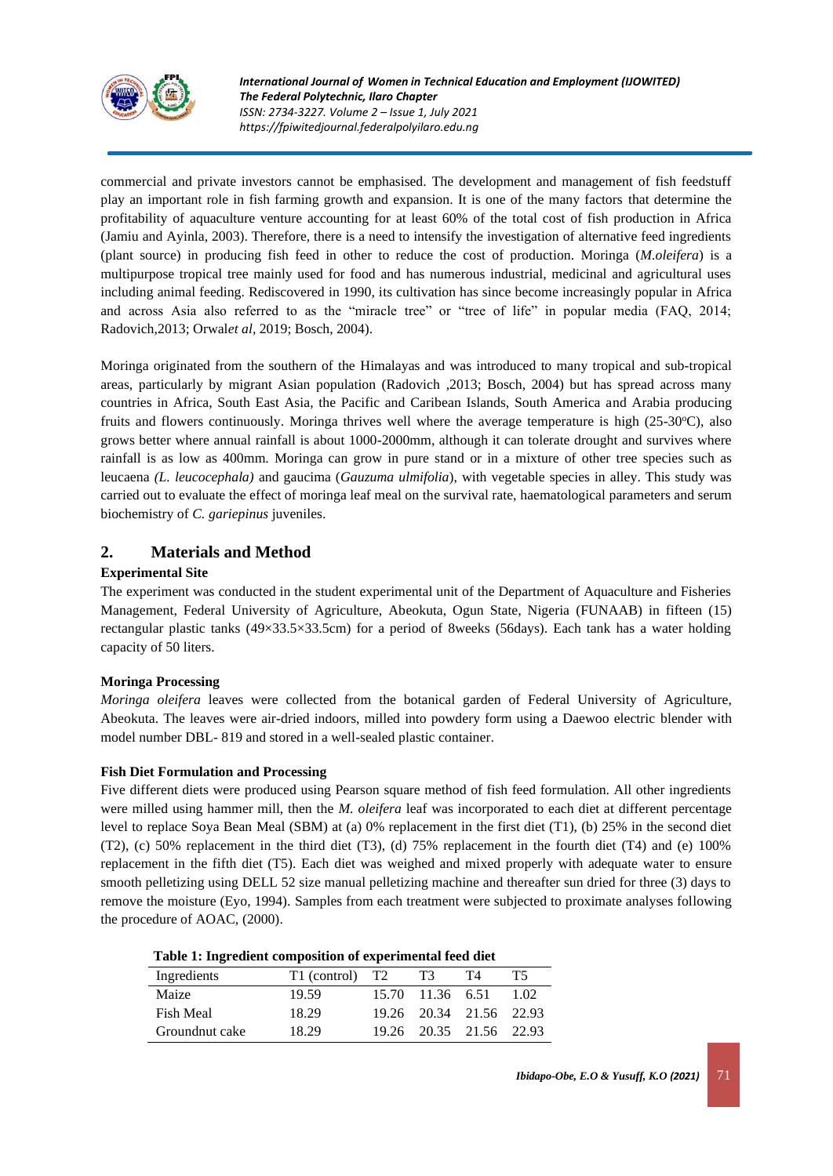

commercial and private investors cannot be emphasised. The development and management of fish feedstuff play an important role in fish farming growth and expansion. It is one of the many factors that determine the profitability of aquaculture venture accounting for at least 60% of the total cost of fish production in Africa (Jamiu and Ayinla, 2003). Therefore, there is a need to intensify the investigation of alternative feed ingredients (plant source) in producing fish feed in other to reduce the cost of production. Moringa (*M.oleifera*) is a multipurpose tropical tree mainly used for food and has numerous industrial, medicinal and agricultural uses including animal feeding. Rediscovered in 1990, its cultivation has since become increasingly popular in Africa and across Asia also referred to as the "miracle tree" or "tree of life" in popular media (FAQ, 2014; Radovich,2013; Orwal*et al,* 2019; Bosch, 2004).

Moringa originated from the southern of the Himalayas and was introduced to many tropical and sub-tropical areas, particularly by migrant Asian population (Radovich ,2013; Bosch, 2004) but has spread across many countries in Africa, South East Asia, the Pacific and Caribean Islands, South America and Arabia producing fruits and flowers continuously. Moringa thrives well where the average temperature is high  $(25{\text -}30^{\circ}\text{C})$ , also grows better where annual rainfall is about 1000-2000mm, although it can tolerate drought and survives where rainfall is as low as 400mm. Moringa can grow in pure stand or in a mixture of other tree species such as leucaena *(L. leucocephala)* and gaucima (*Gauzuma ulmifolia*), with vegetable species in alley. This study was carried out to evaluate the effect of moringa leaf meal on the survival rate, haematological parameters and serum biochemistry of *C. gariepinus* juveniles.

## **2. Materials and Method**

## **Experimental Site**

The experiment was conducted in the student experimental unit of the Department of Aquaculture and Fisheries Management, Federal University of Agriculture, Abeokuta, Ogun State, Nigeria (FUNAAB) in fifteen (15) rectangular plastic tanks (49×33.5×33.5cm) for a period of 8weeks (56days). Each tank has a water holding capacity of 50 liters.

## **Moringa Processing**

*Moringa oleifera* leaves were collected from the botanical garden of Federal University of Agriculture, Abeokuta. The leaves were air-dried indoors, milled into powdery form using a Daewoo electric blender with model number DBL- 819 and stored in a well-sealed plastic container.

## **Fish Diet Formulation and Processing**

Five different diets were produced using Pearson square method of fish feed formulation. All other ingredients were milled using hammer mill, then the *M. oleifera* leaf was incorporated to each diet at different percentage level to replace Soya Bean Meal (SBM) at (a) 0% replacement in the first diet (T1), (b) 25% in the second diet (T2), (c) 50% replacement in the third diet (T3), (d) 75% replacement in the fourth diet (T4) and (e) 100% replacement in the fifth diet (T5). Each diet was weighed and mixed properly with adequate water to ensure smooth pelletizing using DELL 52 size manual pelletizing machine and thereafter sun dried for three (3) days to remove the moisture (Eyo, 1994). Samples from each treatment were subjected to proximate analyses following the procedure of AOAC, (2000).

|                | Table 1: Ingredient composition of experimental feed diet |  |                  |                         |      |  |  |
|----------------|-----------------------------------------------------------|--|------------------|-------------------------|------|--|--|
| Ingredients    | T1 (control) T2                                           |  | T3               | T4                      | T5.  |  |  |
| Maize          | 19.59                                                     |  | 15.70 11.36 6.51 |                         | 1.02 |  |  |
| Fish Meal      | 18.29                                                     |  |                  | 19.26 20.34 21.56 22.93 |      |  |  |
| Groundnut cake | 18.29                                                     |  |                  | 19.26 20.35 21.56 22.93 |      |  |  |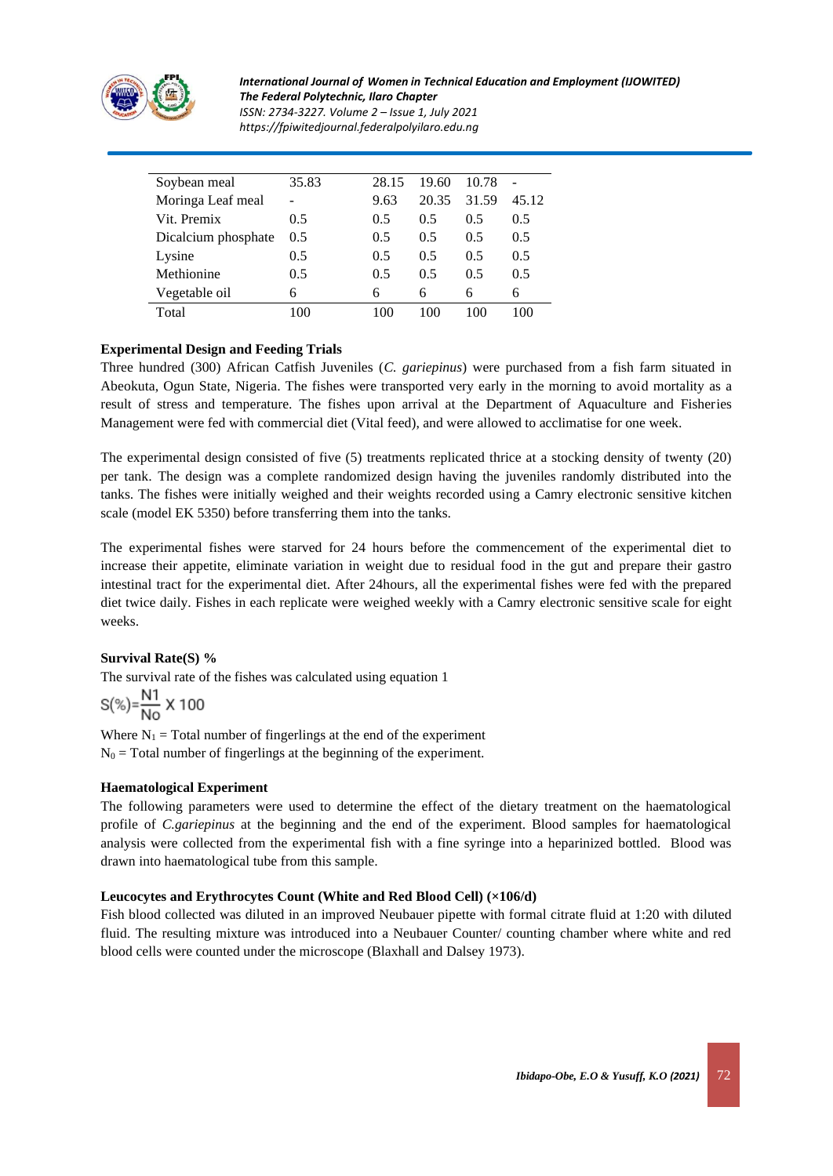

*International Journal of Women in Technical Education and Employment (IJOWITED) The Federal Polytechnic, Ilaro Chapter ISSN: 2734-3227. Volume 2 – Issue 1, July 2021 https://fpiwitedjournal.federalpolyilaro.edu.ng*

| Soybean meal        | 35.83 | 28.15 | 19.60 | 10.78 |       |
|---------------------|-------|-------|-------|-------|-------|
| Moringa Leaf meal   |       | 9.63  | 20.35 | 31.59 | 45.12 |
| Vit. Premix         | 0.5   | 0.5   | 0.5   | 0.5   | 0.5   |
| Dicalcium phosphate | 0.5   | 0.5   | 0.5   | 0.5   | 0.5   |
| Lysine              | 0.5   | 0.5   | 0.5   | 0.5   | 0.5   |
| Methionine          | 0.5   | 0.5   | 0.5   | 0.5   | 0.5   |
| Vegetable oil       | 6     | 6     | 6     | 6     | 6     |
| Total               | 100   | 100   | 100   | 100   |       |

#### **Experimental Design and Feeding Trials**

Three hundred (300) African Catfish Juveniles (*C. gariepinus*) were purchased from a fish farm situated in Abeokuta, Ogun State, Nigeria. The fishes were transported very early in the morning to avoid mortality as a result of stress and temperature. The fishes upon arrival at the Department of Aquaculture and Fisheries Management were fed with commercial diet (Vital feed), and were allowed to acclimatise for one week.

The experimental design consisted of five (5) treatments replicated thrice at a stocking density of twenty (20) per tank. The design was a complete randomized design having the juveniles randomly distributed into the tanks. The fishes were initially weighed and their weights recorded using a Camry electronic sensitive kitchen scale (model EK 5350) before transferring them into the tanks.

The experimental fishes were starved for 24 hours before the commencement of the experimental diet to increase their appetite, eliminate variation in weight due to residual food in the gut and prepare their gastro intestinal tract for the experimental diet. After 24hours, all the experimental fishes were fed with the prepared diet twice daily. Fishes in each replicate were weighed weekly with a Camry electronic sensitive scale for eight weeks.

#### **Survival Rate(S) %**

The survival rate of the fishes was calculated using equation 1

$$
S(\%) = \frac{N1}{No} \times 100
$$

Where  $N_1$  = Total number of fingerlings at the end of the experiment  $N_0$  = Total number of fingerlings at the beginning of the experiment.

#### **Haematological Experiment**

The following parameters were used to determine the effect of the dietary treatment on the haematological profile of *C.gariepinus* at the beginning and the end of the experiment. Blood samples for haematological analysis were collected from the experimental fish with a fine syringe into a heparinized bottled. Blood was drawn into haematological tube from this sample.

#### **Leucocytes and Erythrocytes Count (White and Red Blood Cell) (×106/d)**

Fish blood collected was diluted in an improved Neubauer pipette with formal citrate fluid at 1:20 with diluted fluid. The resulting mixture was introduced into a Neubauer Counter/ counting chamber where white and red blood cells were counted under the microscope (Blaxhall and Dalsey 1973).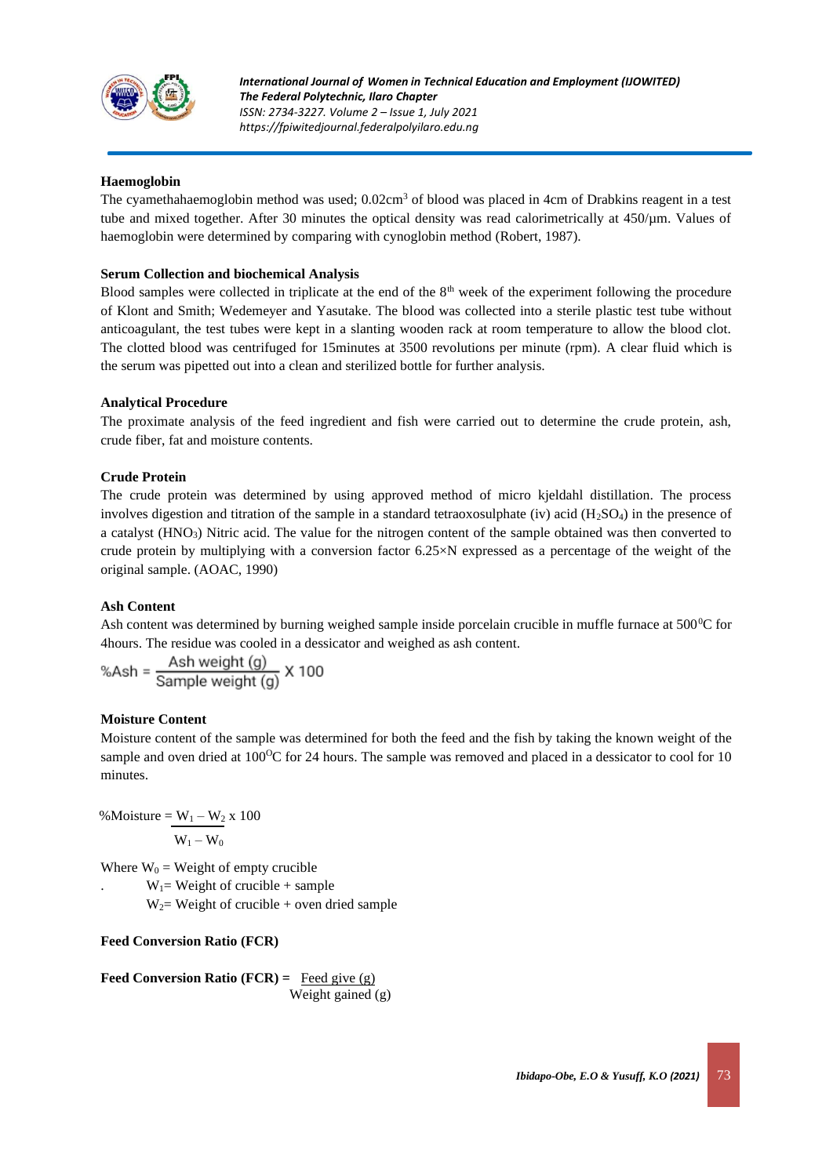

#### **Haemoglobin**

The cyamethahaemoglobin method was used; 0.02cm<sup>3</sup> of blood was placed in 4cm of Drabkins reagent in a test tube and mixed together. After 30 minutes the optical density was read calorimetrically at  $450/\mu$ m. Values of haemoglobin were determined by comparing with cynoglobin method (Robert, 1987).

#### **Serum Collection and biochemical Analysis**

Blood samples were collected in triplicate at the end of the 8<sup>th</sup> week of the experiment following the procedure of Klont and Smith; Wedemeyer and Yasutake. The blood was collected into a sterile plastic test tube without anticoagulant, the test tubes were kept in a slanting wooden rack at room temperature to allow the blood clot. The clotted blood was centrifuged for 15minutes at 3500 revolutions per minute (rpm). A clear fluid which is the serum was pipetted out into a clean and sterilized bottle for further analysis.

#### **Analytical Procedure**

The proximate analysis of the feed ingredient and fish were carried out to determine the crude protein, ash, crude fiber, fat and moisture contents.

#### **Crude Protein**

The crude protein was determined by using approved method of micro kjeldahl distillation. The process involves digestion and titration of the sample in a standard tetraoxosulphate (iv) acid ( $H_2SO_4$ ) in the presence of a catalyst (HNO3) Nitric acid. The value for the nitrogen content of the sample obtained was then converted to crude protein by multiplying with a conversion factor  $6.25 \times N$  expressed as a percentage of the weight of the original sample. (AOAC, 1990)

#### **Ash Content**

Ash content was determined by burning weighed sample inside porcelain crucible in muffle furnace at  $500^{\circ}$ C for 4hours. The residue was cooled in a dessicator and weighed as ash content.

$$
%Ash = \frac{Ash weight (g)}{Sample weight (g)} \times 100
$$

#### **Moisture Content**

Moisture content of the sample was determined for both the feed and the fish by taking the known weight of the sample and oven dried at 100<sup>o</sup>C for 24 hours. The sample was removed and placed in a dessicator to cool for 10 minutes.

%Moisture =  $W_1 - W_2 x 100$  $W_1 - W_0$ 

Where  $W_0$  = Weight of empty crucible

 $W_1$ = Weight of crucible + sample

 $W_2$ = Weight of crucible + oven dried sample

## **Feed Conversion Ratio (FCR)**

**Feed Conversion Ratio (FCR) =**  $\text{Feed give (g)}$ Weight gained (g)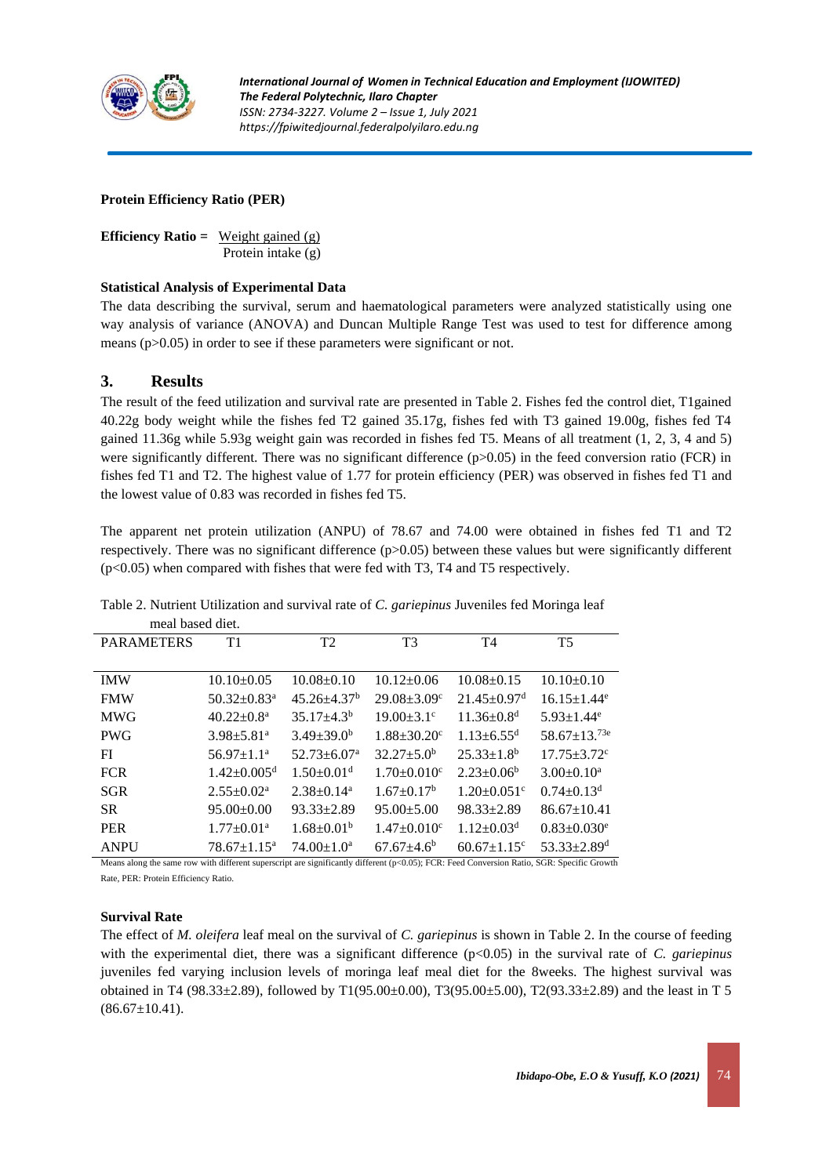

#### **Protein Efficiency Ratio (PER)**

**Efficiency Ratio =** Weight gained (g) Protein intake (g)

#### **Statistical Analysis of Experimental Data**

The data describing the survival, serum and haematological parameters were analyzed statistically using one way analysis of variance (ANOVA) and Duncan Multiple Range Test was used to test for difference among means (p>0.05) in order to see if these parameters were significant or not.

## **3. Results**

The result of the feed utilization and survival rate are presented in Table 2. Fishes fed the control diet, T1gained 40.22g body weight while the fishes fed T2 gained 35.17g, fishes fed with T3 gained 19.00g, fishes fed T4 gained 11.36g while 5.93g weight gain was recorded in fishes fed T5. Means of all treatment (1, 2, 3, 4 and 5) were significantly different. There was no significant difference  $(p>0.05)$  in the feed conversion ratio (FCR) in fishes fed T1 and T2. The highest value of 1.77 for protein efficiency (PER) was observed in fishes fed T1 and the lowest value of 0.83 was recorded in fishes fed T5.

The apparent net protein utilization (ANPU) of 78.67 and 74.00 were obtained in fishes fed T1 and T2 respectively. There was no significant difference (p>0.05) between these values but were significantly different (p<0.05) when compared with fishes that were fed with T3, T4 and T5 respectively.

| mear based diet.  |                               |                              |                               |                               |                               |
|-------------------|-------------------------------|------------------------------|-------------------------------|-------------------------------|-------------------------------|
| <b>PARAMETERS</b> | T1                            | T <sub>2</sub>               | T <sub>3</sub>                | T <sub>4</sub>                | <b>T5</b>                     |
|                   |                               |                              |                               |                               |                               |
| <b>IMW</b>        | $10.10 \pm 0.05$              | $10.08 + 0.10$               | $10.12 \pm 0.06$              | $10.08 \pm 0.15$              | $10.10+0.10$                  |
| <b>FMW</b>        | $50.32 \pm 0.83$ <sup>a</sup> | $45.26 + 4.37^b$             | $29.08 + 3.09$ <sup>c</sup>   | $21.45 \pm 0.97$ <sup>d</sup> | $16.15 \pm 1.44$ <sup>e</sup> |
| <b>MWG</b>        | $40.22 \pm 0.8^{\text{a}}$    | $35.17 + 4.3b$               | $19.00 \pm 3.1$ <sup>c</sup>  | $11.36 \pm 0.8$ <sup>d</sup>  | $5.93 \pm 1.44$ <sup>e</sup>  |
| <b>PWG</b>        | $3.98 \pm 5.81$ <sup>a</sup>  | $3.49 \pm 39.0^b$            | $1.88 \pm 30.20$ <sup>c</sup> | $1.13 + 6.55$ <sup>d</sup>    | $58.67 \pm 13.^{73e}$         |
| FI                | $56.97 \pm 1.1^a$             | $52.73 + 6.07^a$             | $32.27 + 5.0^b$               | $25.33 \pm 1.8^b$             | $17.75 + 3.72$ <sup>c</sup>   |
| <b>FCR</b>        | $1.42 \pm 0.005$ <sup>d</sup> | $1.50 \pm 0.01$ <sup>d</sup> | $1.70 \pm 0.010$ <sup>c</sup> | $2.23 \pm 0.06^b$             | $3.00 \pm 0.10^a$             |
| <b>SGR</b>        | $2.55 \pm 0.02^a$             | $2.38+0.14^a$                | $1.67+0.17b$                  | $1.20 + 0.051$ <sup>c</sup>   | $0.74 + 0.13d$                |
| SR.               | $95.00 \pm 0.00$              | $93.33 \pm 2.89$             | $95.00 \pm 5.00$              | $98.33 \pm 2.89$              | $86.67 \pm 10.41$             |
| <b>PER</b>        | $1.77 \pm 0.01$ <sup>a</sup>  | $1.68 \pm 0.01^b$            | $1.47 \pm 0.010$ <sup>c</sup> | $1.12 \pm 0.03$ <sup>d</sup>  | $0.83 \pm 0.030$ <sup>e</sup> |
| <b>ANPU</b>       | $78.67 \pm 1.15^a$            | $74.00 + 1.0a$               | $67.67 + 4.6^b$               | $60.67 \pm 1.15$ <sup>c</sup> | $53.33 + 2.89$ <sup>d</sup>   |

Table 2. Nutrient Utilization and survival rate of *C. gariepinus* Juveniles fed Moringa leaf meal based diet.

Means along the same row with different superscript are significantly different (p<0.05); FCR: Feed Conversion Ratio, SGR: Specific Growth Rate, PER: Protein Efficiency Ratio.

#### **Survival Rate**

The effect of *M. oleifera* leaf meal on the survival of *C. gariepinus* is shown in Table 2. In the course of feeding with the experimental diet, there was a significant difference (p<0.05) in the survival rate of *C. gariepinus* juveniles fed varying inclusion levels of moringa leaf meal diet for the 8weeks. The highest survival was obtained in T4 (98.33±2.89), followed by T1(95.00±0.00), T3(95.00±5.00), T2(93.33±2.89) and the least in T 5  $(86.67 \pm 10.41).$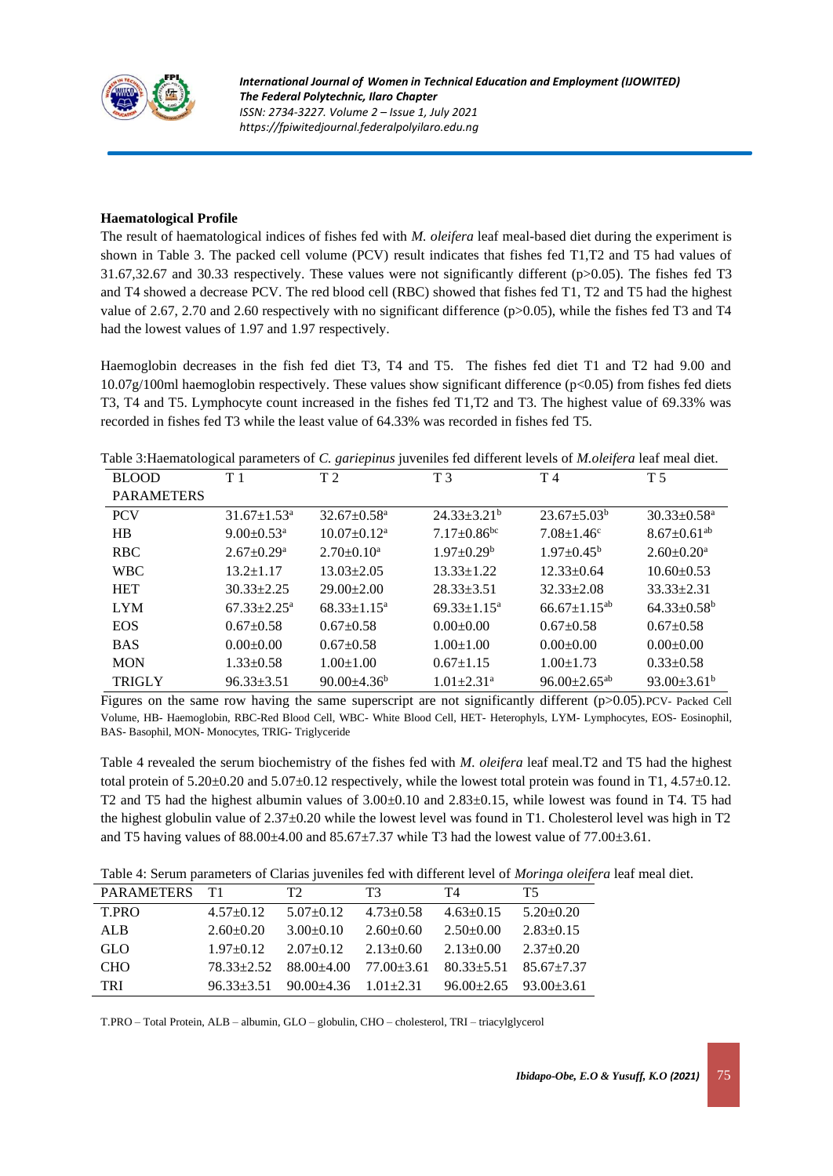

#### **Haematological Profile**

The result of haematological indices of fishes fed with *M. oleifera* leaf meal-based diet during the experiment is shown in Table 3. The packed cell volume (PCV) result indicates that fishes fed T1,T2 and T5 had values of 31.67,32.67 and 30.33 respectively. These values were not significantly different (p>0.05). The fishes fed T3 and T4 showed a decrease PCV. The red blood cell (RBC) showed that fishes fed T1, T2 and T5 had the highest value of 2.67, 2.70 and 2.60 respectively with no significant difference (p>0.05), while the fishes fed T3 and T4 had the lowest values of 1.97 and 1.97 respectively.

Haemoglobin decreases in the fish fed diet T3, T4 and T5. The fishes fed diet T1 and T2 had 9.00 and 10.07g/100ml haemoglobin respectively. These values show significant difference (p<0.05) from fishes fed diets T3, T4 and T5. Lymphocyte count increased in the fishes fed T1,T2 and T3. The highest value of 69.33% was recorded in fishes fed T3 while the least value of 64.33% was recorded in fishes fed T5.

Table 3:Haematological parameters of *C. gariepinus* juveniles fed different levels of *M.oleifera* leaf meal diet.

| <b>BLOOD</b>      | T <sub>1</sub>                | T <sub>2</sub>                | T <sub>3</sub>                | T <sub>4</sub>                 | T 5                           |
|-------------------|-------------------------------|-------------------------------|-------------------------------|--------------------------------|-------------------------------|
| <b>PARAMETERS</b> |                               |                               |                               |                                |                               |
| <b>PCV</b>        | $31.67 \pm 1.53^{\circ}$      | $32.67 \pm 0.58$ <sup>a</sup> | $24.33 \pm 3.21^{\circ}$      | $23.67 \pm 5.03^b$             | $30.33 \pm 0.58^{\text{a}}$   |
| <b>HB</b>         | $9.00+0.53^{\text{a}}$        | $10.07 \pm 0.12^a$            | $7.17 \pm 0.86$ <sup>bc</sup> | $7.08 \pm 1.46$ <sup>c</sup>   | $8.67 \pm 0.61$ <sup>ab</sup> |
| <b>RBC</b>        | $2.67 \pm 0.29$ <sup>a</sup>  | $2.70 \pm 0.10^a$             | $1.97 \pm 0.29^b$             | $1.97 \pm 0.45^{\rm b}$        | $2.60 \pm 0.20$ <sup>a</sup>  |
| <b>WBC</b>        | $13.2 \pm 1.17$               | $13.03 \pm 2.05$              | $13.33 \pm 1.22$              | $12.33 \pm 0.64$               | $10.60 \pm 0.53$              |
| <b>HET</b>        | $30.33 \pm 2.25$              | $29.00 \pm 2.00$              | $28.33 + 3.51$                | $32.33 \pm 2.08$               | $33.33 + 2.31$                |
| <b>LYM</b>        | $67.33 \pm 2.25^{\mathrm{a}}$ | $68.33 \pm 1.15^a$            | $69.33 \pm 1.15^a$            | $66.67 \pm 1.15^{ab}$          | $64.33 \pm 0.58^b$            |
| <b>EOS</b>        | $0.67+0.58$                   | $0.67+0.58$                   | $0.00 + 0.00$                 | $0.67+0.58$                    | $0.67+0.58$                   |
| <b>BAS</b>        | $0.00+0.00$                   | $0.67+0.58$                   | $1.00 \pm 1.00$               | $0.00+0.00$                    | $0.00 + 0.00$                 |
| <b>MON</b>        | $1.33 \pm 0.58$               | $1.00+1.00$                   | $0.67 \pm 1.15$               | $1.00 + 1.73$                  | $0.33 \pm 0.58$               |
| <b>TRIGLY</b>     | $96.33 \pm 3.51$              | $90.00 + 4.36^b$              | $1.01 \pm 2.31$ <sup>a</sup>  | $96.00 \pm 2.65$ <sup>ab</sup> | $93.00 \pm 3.61^b$            |

Figures on the same row having the same superscript are not significantly different (p>0.05).PCV- Packed Cell Volume, HB- Haemoglobin, RBC-Red Blood Cell, WBC- White Blood Cell, HET- Heterophyls, LYM- Lymphocytes, EOS- Eosinophil, BAS- Basophil, MON- Monocytes, TRIG- Triglyceride

Table 4 revealed the serum biochemistry of the fishes fed with *M. oleifera* leaf meal.T2 and T5 had the highest total protein of 5.20±0.20 and 5.07±0.12 respectively, while the lowest total protein was found in T1, 4.57±0.12. T2 and T5 had the highest albumin values of  $3.00\pm0.10$  and  $2.83\pm0.15$ , while lowest was found in T4. T5 had the highest globulin value of  $2.37\pm0.20$  while the lowest level was found in T1. Cholesterol level was high in T2 and T5 having values of  $88.00\pm4.00$  and  $85.67\pm7.37$  while T3 had the lowest value of  $77.00\pm3.61$ .

Table 4: Serum parameters of Clarias juveniles fed with different level of *Moringa oleifera* leaf meal diet.

| PARAMETERS T1 |                                   | T <sub>2</sub>                              | T3              | T4                        | T5              |
|---------------|-----------------------------------|---------------------------------------------|-----------------|---------------------------|-----------------|
| T.PRO         | $4.57\pm0.12$                     | $5.07 + 0.12$                               | $4.73 \pm 0.58$ | $4.63 \pm 0.15$           | $5.20+0.20$     |
| ALB           | $2.60+0.20$                       | $3.00 + 0.10$                               | $2.60 \pm 0.60$ | $2.50 \pm 0.00$           | $2.83 \pm 0.15$ |
| <b>GLO</b>    | $1.97 + 0.12$                     | $2.07+0.12$                                 | $2.13 \pm 0.60$ | $2.13 + 0.00$             | $2.37 \pm 0.20$ |
| <b>CHO</b>    | $78.33 \pm 2.52$ $88.00 \pm 4.00$ |                                             | 77.00 + 3.61    | $80.33 + 5.51$            | $85.67 + 7.37$  |
| TRI           |                                   | $96.33\pm3.51$ $90.00\pm4.36$ $1.01\pm2.31$ |                 | $96.00+2.65$ $93.00+3.61$ |                 |

T.PRO – Total Protein, ALB – albumin, GLO – globulin, CHO – cholesterol, TRI – triacylglycerol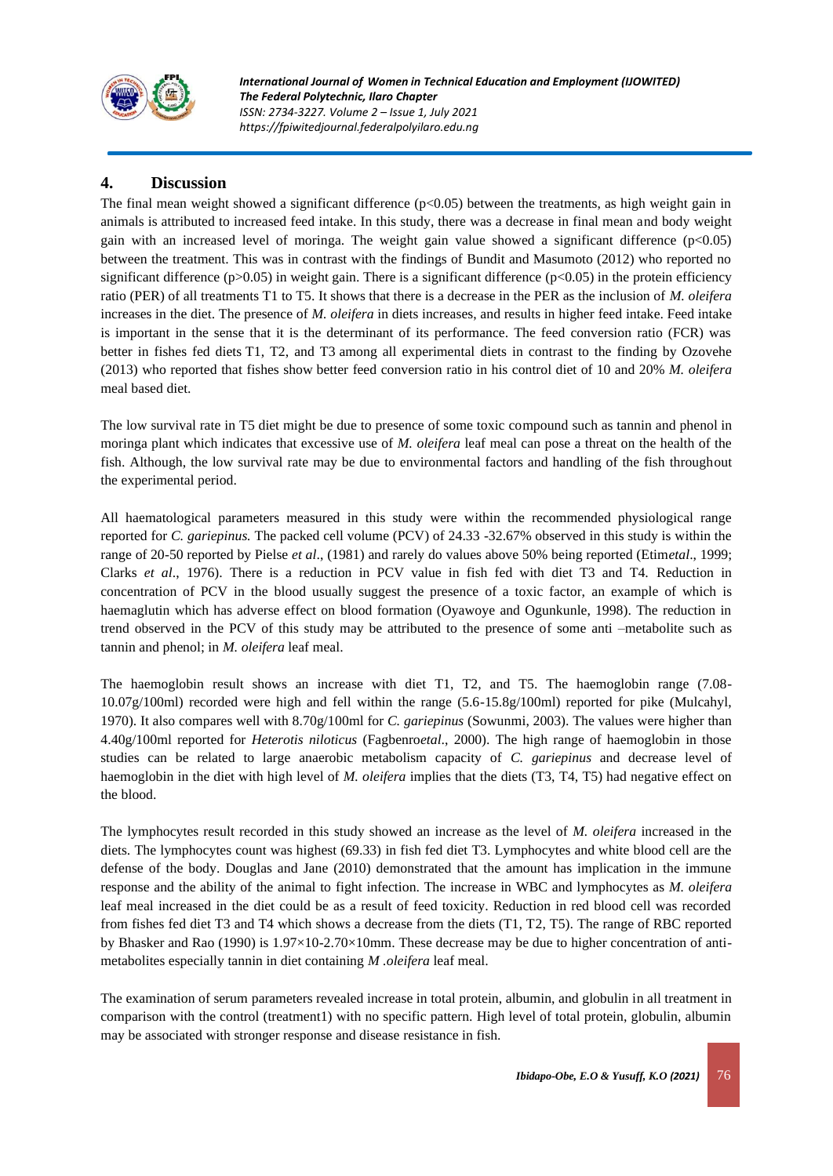

*International Journal of Women in Technical Education and Employment (IJOWITED) The Federal Polytechnic, Ilaro Chapter ISSN: 2734-3227. Volume 2 – Issue 1, July 2021 https://fpiwitedjournal.federalpolyilaro.edu.ng*

## **4. Discussion**

The final mean weight showed a significant difference  $(p<0.05)$  between the treatments, as high weight gain in animals is attributed to increased feed intake. In this study, there was a decrease in final mean and body weight gain with an increased level of moringa. The weight gain value showed a significant difference  $(p<0.05)$ between the treatment. This was in contrast with the findings of Bundit and Masumoto (2012) who reported no significant difference  $(p>0.05)$  in weight gain. There is a significant difference  $(p<0.05)$  in the protein efficiency ratio (PER) of all treatments T1 to T5. It shows that there is a decrease in the PER as the inclusion of *M. oleifera* increases in the diet. The presence of *M. oleifera* in diets increases, and results in higher feed intake. Feed intake is important in the sense that it is the determinant of its performance. The feed conversion ratio (FCR) was better in fishes fed diets T1, T2, and T3 among all experimental diets in contrast to the finding by Ozovehe (2013) who reported that fishes show better feed conversion ratio in his control diet of 10 and 20% *M. oleifera* meal based diet.

The low survival rate in T5 diet might be due to presence of some toxic compound such as tannin and phenol in moringa plant which indicates that excessive use of *M. oleifera* leaf meal can pose a threat on the health of the fish. Although, the low survival rate may be due to environmental factors and handling of the fish throughout the experimental period.

All haematological parameters measured in this study were within the recommended physiological range reported for *C. gariepinus.* The packed cell volume (PCV) of 24.33 -32.67% observed in this study is within the range of 20-50 reported by Pielse *et al*., (1981) and rarely do values above 50% being reported (Etim*etal*., 1999; Clarks *et al*., 1976). There is a reduction in PCV value in fish fed with diet T3 and T4. Reduction in concentration of PCV in the blood usually suggest the presence of a toxic factor, an example of which is haemaglutin which has adverse effect on blood formation (Oyawoye and Ogunkunle, 1998). The reduction in trend observed in the PCV of this study may be attributed to the presence of some anti –metabolite such as tannin and phenol; in *M. oleifera* leaf meal.

The haemoglobin result shows an increase with diet T1, T2, and T5. The haemoglobin range (7.08- 10.07g/100ml) recorded were high and fell within the range (5.6-15.8g/100ml) reported for pike (Mulcahyl, 1970). It also compares well with 8.70g/100ml for *C. gariepinus* (Sowunmi, 2003). The values were higher than 4.40g/100ml reported for *Heterotis niloticus* (Fagbenro*etal*., 2000). The high range of haemoglobin in those studies can be related to large anaerobic metabolism capacity of *C. gariepinus* and decrease level of haemoglobin in the diet with high level of *M. oleifera* implies that the diets (T3, T4, T5) had negative effect on the blood.

The lymphocytes result recorded in this study showed an increase as the level of *M. oleifera* increased in the diets. The lymphocytes count was highest (69.33) in fish fed diet T3. Lymphocytes and white blood cell are the defense of the body. Douglas and Jane (2010) demonstrated that the amount has implication in the immune response and the ability of the animal to fight infection. The increase in WBC and lymphocytes as *M. oleifera* leaf meal increased in the diet could be as a result of feed toxicity. Reduction in red blood cell was recorded from fishes fed diet T3 and T4 which shows a decrease from the diets (T1, T2, T5). The range of RBC reported by Bhasker and Rao (1990) is 1.97×10-2.70×10mm. These decrease may be due to higher concentration of antimetabolites especially tannin in diet containing *M .oleifera* leaf meal.

The examination of serum parameters revealed increase in total protein, albumin, and globulin in all treatment in comparison with the control (treatment1) with no specific pattern. High level of total protein, globulin, albumin may be associated with stronger response and disease resistance in fish.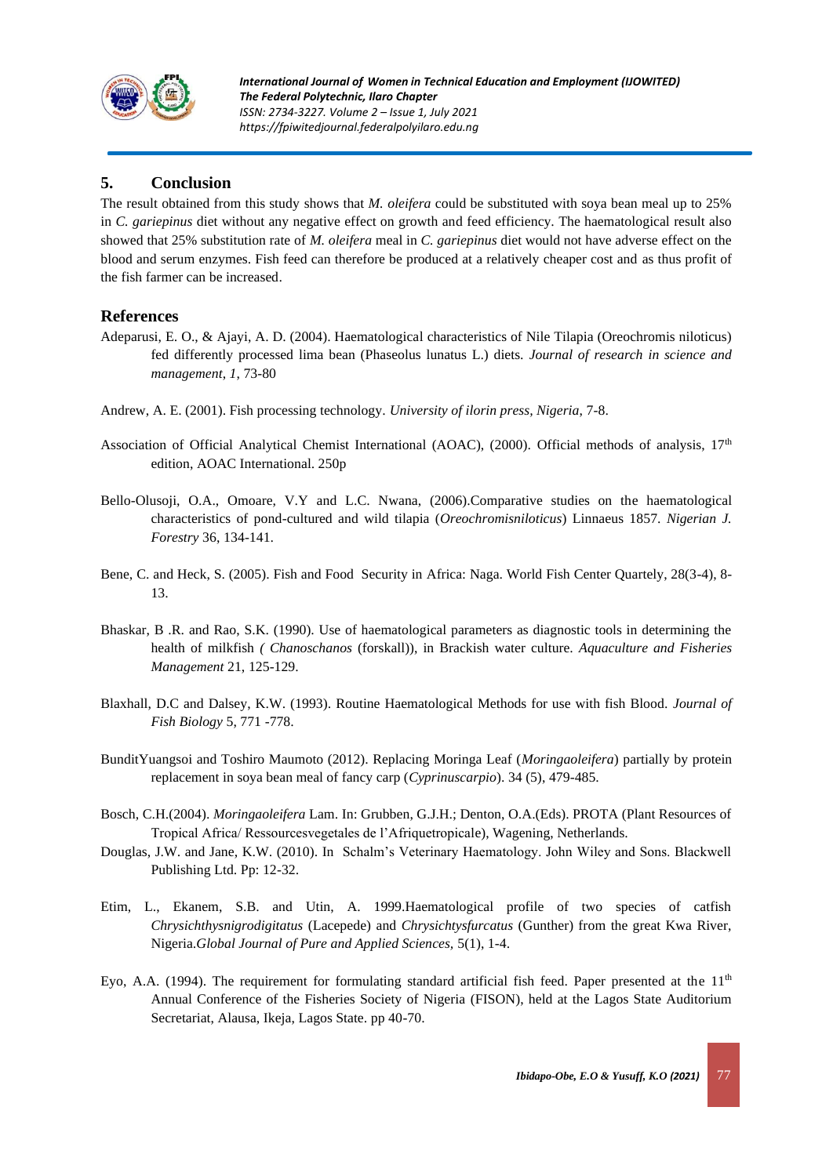

## **5. Conclusion**

The result obtained from this study shows that *M. oleifera* could be substituted with soya bean meal up to 25% in *C. gariepinus* diet without any negative effect on growth and feed efficiency. The haematological result also showed that 25% substitution rate of *M. oleifera* meal in *C. gariepinus* diet would not have adverse effect on the blood and serum enzymes. Fish feed can therefore be produced at a relatively cheaper cost and as thus profit of the fish farmer can be increased.

## **References**

- Adeparusi, E. O., & Ajayi, A. D. (2004). Haematological characteristics of Nile Tilapia (Oreochromis niloticus) fed differently processed lima bean (Phaseolus lunatus L.) diets. *Journal of research in science and management*, *1*, 73-80
- Andrew, A. E. (2001). Fish processing technology. *University of ilorin press, Nigeria*, 7-8.
- Association of Official Analytical Chemist International (AOAC), (2000). Official methods of analysis,  $17<sup>th</sup>$ edition, AOAC International. 250p
- Bello-Olusoji, O.A., Omoare, V.Y and L.C. Nwana, (2006).Comparative studies on the haematological characteristics of pond-cultured and wild tilapia (*Oreochromisniloticus*) Linnaeus 1857. *Nigerian J. Forestry* 36, 134-141.
- Bene, C. and Heck, S. (2005). Fish and Food Security in Africa: Naga. World Fish Center Quartely, 28(3-4), 8- 13.
- Bhaskar, B .R. and Rao, S.K. (1990). Use of haematological parameters as diagnostic tools in determining the health of milkfish *( Chanoschanos* (forskall)), in Brackish water culture. *Aquaculture and Fisheries Management* 21, 125-129.
- Blaxhall, D.C and Dalsey, K.W. (1993). Routine Haematological Methods for use with fish Blood. *Journal of Fish Biology* 5, 771 -778.
- BunditYuangsoi and Toshiro Maumoto (2012). Replacing Moringa Leaf (*Moringaoleifera*) partially by protein replacement in soya bean meal of fancy carp (*Cyprinuscarpio*). 34 (5), 479-485.
- Bosch, C.H.(2004). *Moringaoleifera* Lam. In: Grubben, G.J.H.; Denton, O.A.(Eds). PROTA (Plant Resources of Tropical Africa/ Ressourcesvegetales de l'Afriquetropicale), Wagening, Netherlands.
- Douglas, J.W. and Jane, K.W. (2010). In Schalm's Veterinary Haematology. John Wiley and Sons. Blackwell Publishing Ltd. Pp: 12-32.
- Etim, L., Ekanem, S.B. and Utin, A. 1999.Haematological profile of two species of catfish *Chrysichthysnigrodigitatus* (Lacepede) and *Chrysichtysfurcatus* (Gunther) from the great Kwa River, Nigeria.*Global Journal of Pure and Applied Sciences,* 5(1), 1-4.
- Eyo, A.A. (1994). The requirement for formulating standard artificial fish feed. Paper presented at the  $11<sup>th</sup>$ Annual Conference of the Fisheries Society of Nigeria (FISON), held at the Lagos State Auditorium Secretariat, Alausa, Ikeja, Lagos State. pp 40-70.